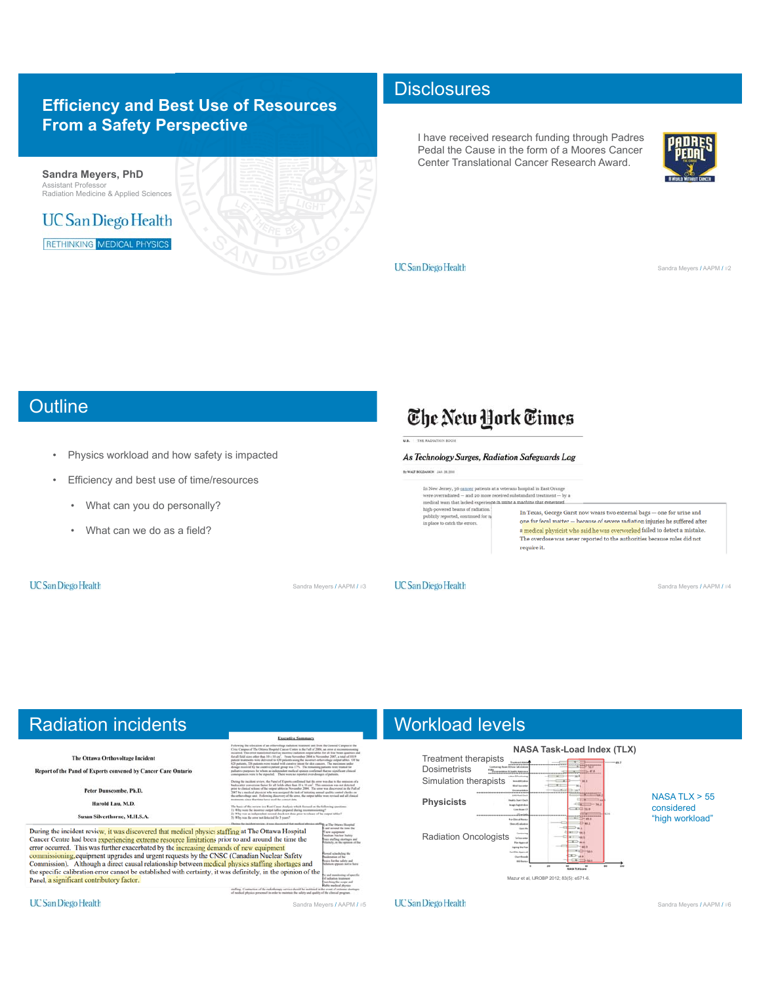## **Efficiency and Best Use of Resources From a Safety Perspective**



### **Disclosures**

I have received research funding through Padres Pedal the Cause in the form of a Moores Cancer Center Translational Cancer Research Award.



**UC** San Diego Health

Sandra Meyers / AAPM / #2

# **Outline**

- Physics workload and how safety is impacted
- Efficiency and best use of time/resources
	- What can you do personally?
	- What can we do as a field?

#### **UC San Diego Health**

# The New York Times

As Technology Surges, Radiation Safeguards Lag

In WALTBOOKHOOD JAN 24, 200

- In New Jersey, 36 cancer patients at a veter<br>ans hospital in East Orange were overradiated  $-$  and 20 m<br>ore received substandard treatment  $-$  by a medical team<br> $\mathbf n$  hat leaked experience in using a machine that generat
- high-powered beams of radiation. In Texas, George Garst now wears two external bags  $-$  one for urine and publicly reported, continued for m<br>in place to catch the errors. one for fecal matter - because of severe radiation injuries he suffered after a medical physicist who said he was overworked failed to detect a mistake.<br>The overdose was never reported to the authorities because rules did not

require it.

Sandra Meyers / AAPM / #3 UCSan Diego Health Sandra Meyers / AAPM / #4

# Radiation incidents

The Ottawa Orthovoltage Incident Report of the Panel of Experts convened by Cancer Care Ontario Peter Dunscombe, Ph.D. Harold Lau, M.D. Susan Silverthorne, M.H.S.A. During the incident review, it was discovered that medical physics staffing at The Ottawa Hospital Same a measure limitations prior to and around the time<br>cancer Centre had been experiencing extreme resource limitations prior to and around the time<br>error occurred. This was further exacerbated by the increasing demands o ie the commissioning, equipment upgrades and urgent requests by the CNSC (Canadian Nuclear Safety<br>Commission). Although a direct causal relationship between medical physics staffing shortages and the specific calibration error cannot be established with certainty, it was definitely, in the opinion of the Panel, a significant contributory factor. staffing. Contraction of the riabiotherapy at<br>of medical obtains non-result in order to re

Sandra Meyers / AAPM / #5

## Workload levels



**UC** San Diego Health

**UC** San Diego Health

Sandra Meyers / AAPM / #6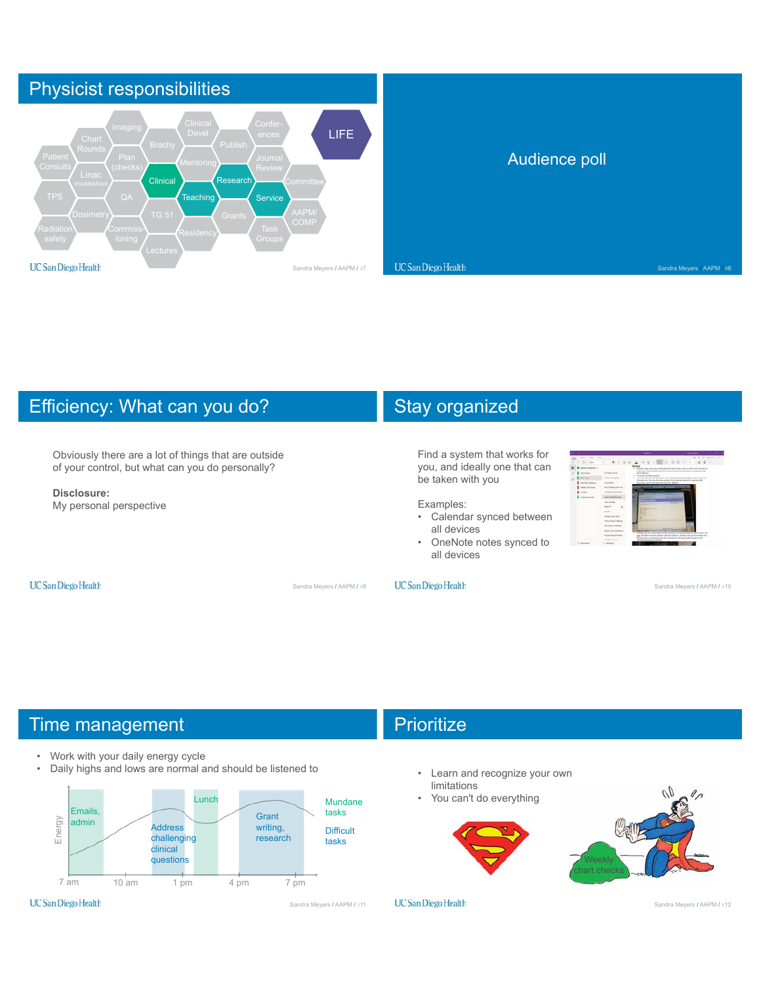

# Efficiency: What can you do?

Obviously there are a lot of things that are outside of your control, but what can you do personally?

#### **Disclosure:**

My personal perspective

# Stay organized

Find a system that works for you, and ideally one that can be taken with you

#### Examples:

- Calendar synced between all devices
- OneNote notes synced to all devices

#### **UC** San Diego Health

Sandra Meyers / AAPM / #9

#### **UC** San Diego Health

Sandra Meyers / AAPM / #10

## Time management

- Work with your daily energy cycle
- Daily highs and lows are normal and should be listened to



# **Prioritize**

- Learn and recognize your own limitations
- You can't do everything





**UC** San Diego Health

Sandra Meyers / AAPM / #12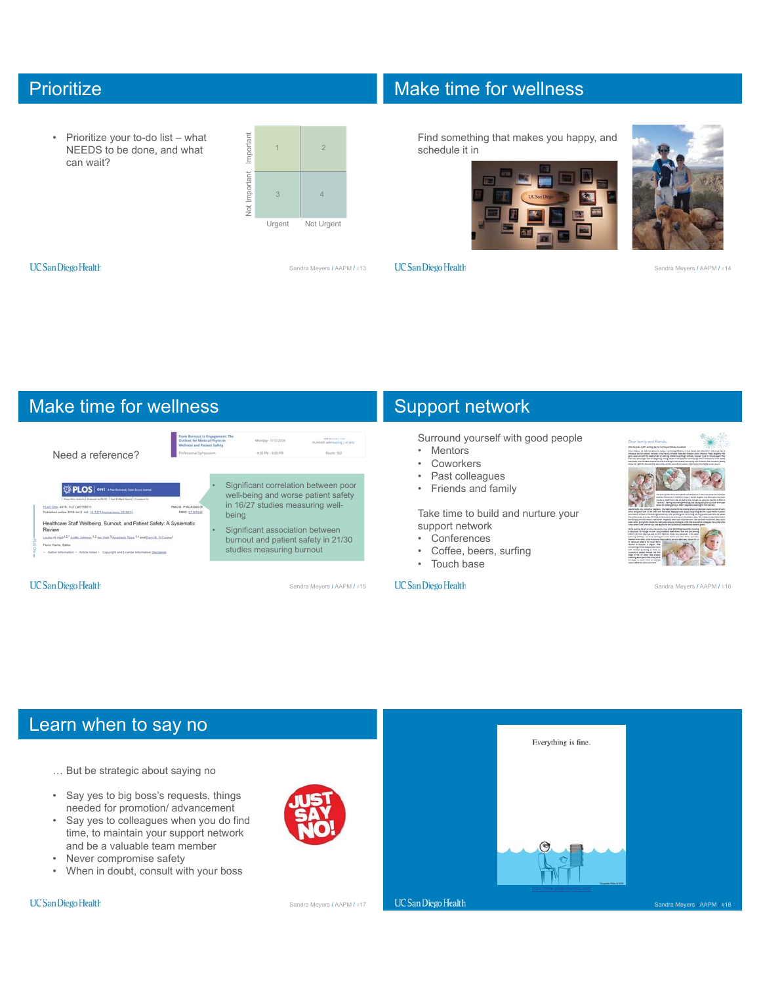## **Prioritize**

• Prioritize your to-do list – what NEEDS to be done, and what can wait?



## Make time for wellness

Find something that makes you happy, and schedule it in





Sandra Meyers / AAPM / #14

**UC** San Diego Health

Sandra Meyers / AAPM / #13

**UC** San Diego Health



## Support network

Surround yourself with good people

- Mentors
- Coworkers
- Past colleagues
- Friends and family

Take time to build and nurture your support network

- Conferences
- Coffee, beers, surfing
- Touch base

#### **UC** San Diego Health



Sandra Meyers / AAPM / #16